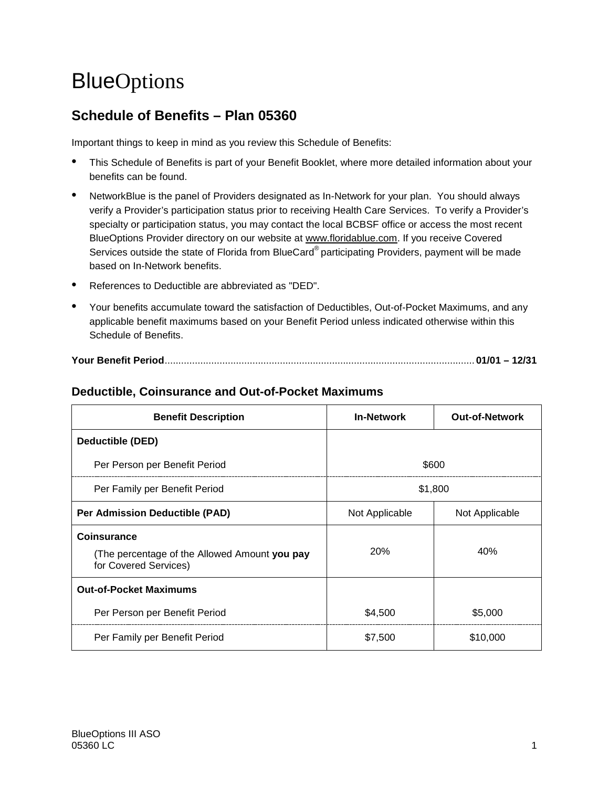# **BlueOptions**

# **Schedule of Benefits – Plan 05360**

Important things to keep in mind as you review this Schedule of Benefits:

- This Schedule of Benefits is part of your Benefit Booklet, where more detailed information about your benefits can be found.
- NetworkBlue is the panel of Providers designated as In-Network for your plan. You should always verify a Provider's participation status prior to receiving Health Care Services. To verify a Provider's specialty or participation status, you may contact the local BCBSF office or access the most recent BlueOptions Provider directory on our website at www.floridablue.com. If you receive Covered Services outside the state of Florida from BlueCard® participating Providers, payment will be made based on In-Network benefits.
- References to Deductible are abbreviated as "DED".
- Your benefits accumulate toward the satisfaction of Deductibles, Out-of-Pocket Maximums, and any applicable benefit maximums based on your Benefit Period unless indicated otherwise within this Schedule of Benefits.

## **Deductible, Coinsurance and Out-of-Pocket Maximums**

| <b>Benefit Description</b>                                                                   | <b>In-Network</b> | <b>Out-of-Network</b> |
|----------------------------------------------------------------------------------------------|-------------------|-----------------------|
| <b>Deductible (DED)</b>                                                                      |                   |                       |
| Per Person per Benefit Period                                                                | \$600             |                       |
| Per Family per Benefit Period                                                                | \$1,800           |                       |
| Per Admission Deductible (PAD)                                                               | Not Applicable    | Not Applicable        |
| <b>Coinsurance</b><br>(The percentage of the Allowed Amount you pay<br>for Covered Services) | 20%               | 40%                   |
| <b>Out-of-Pocket Maximums</b>                                                                |                   |                       |
| Per Person per Benefit Period                                                                | \$4,500           | \$5,000               |
| Per Family per Benefit Period                                                                | \$7,500           | \$10,000              |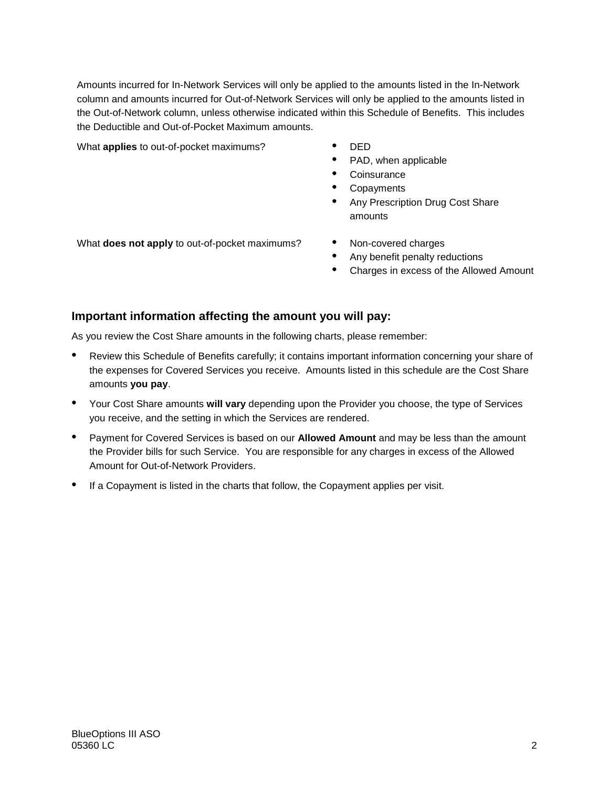Amounts incurred for In-Network Services will only be applied to the amounts listed in the In-Network column and amounts incurred for Out-of-Network Services will only be applied to the amounts listed in the Out-of-Network column, unless otherwise indicated within this Schedule of Benefits. This includes the Deductible and Out-of-Pocket Maximum amounts.

What **applies** to out-of-pocket maximums? • DED

- 
- PAD, when applicable
- Coinsurance
- Copayments<br>• Any Prescript
- Any Prescription Drug Cost Share amounts

What **does not apply** to out-of-pocket maximums? • Non-covered charges

- 
- Any benefit penalty reductions
- Charges in excess of the Allowed Amount

## **Important information affecting the amount you will pay:**

As you review the Cost Share amounts in the following charts, please remember:

- Review this Schedule of Benefits carefully; it contains important information concerning your share of the expenses for Covered Services you receive. Amounts listed in this schedule are the Cost Share amounts **you pay**.
- Your Cost Share amounts **will vary** depending upon the Provider you choose, the type of Services you receive, and the setting in which the Services are rendered.
- Payment for Covered Services is based on our **Allowed Amount** and may be less than the amount the Provider bills for such Service. You are responsible for any charges in excess of the Allowed Amount for Out-of-Network Providers.
- If a Copayment is listed in the charts that follow, the Copayment applies per visit.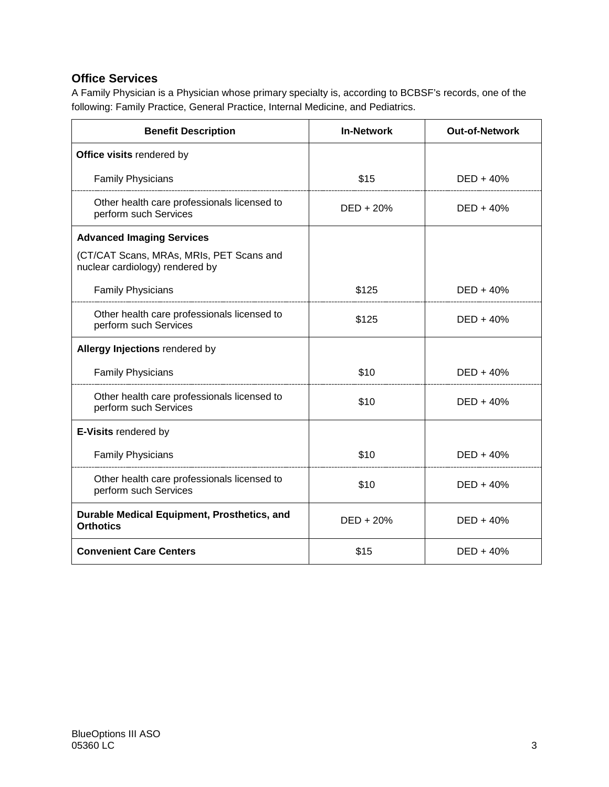## **Office Services**

A Family Physician is a Physician whose primary specialty is, according to BCBSF's records, one of the following: Family Practice, General Practice, Internal Medicine, and Pediatrics.

| <b>Benefit Description</b>                                                  | <b>In-Network</b> | <b>Out-of-Network</b> |
|-----------------------------------------------------------------------------|-------------------|-----------------------|
| Office visits rendered by                                                   |                   |                       |
| <b>Family Physicians</b>                                                    | \$15              | $DED + 40%$           |
| Other health care professionals licensed to<br>perform such Services        | $DED + 20%$       | $DED + 40%$           |
| <b>Advanced Imaging Services</b>                                            |                   |                       |
| (CT/CAT Scans, MRAs, MRIs, PET Scans and<br>nuclear cardiology) rendered by |                   |                       |
| <b>Family Physicians</b>                                                    | \$125             | $DED + 40%$           |
| Other health care professionals licensed to<br>perform such Services        | \$125             | $DED + 40%$           |
| Allergy Injections rendered by                                              |                   |                       |
| <b>Family Physicians</b>                                                    | \$10              | $DED + 40%$           |
| Other health care professionals licensed to<br>perform such Services        | \$10              | $DED + 40%$           |
| E-Visits rendered by                                                        |                   |                       |
| <b>Family Physicians</b>                                                    | \$10              | $DED + 40%$           |
| Other health care professionals licensed to<br>perform such Services        | \$10              | $DED + 40%$           |
| Durable Medical Equipment, Prosthetics, and<br><b>Orthotics</b>             | $DED + 20%$       | $DED + 40%$           |
| <b>Convenient Care Centers</b>                                              | \$15              | $DED + 40%$           |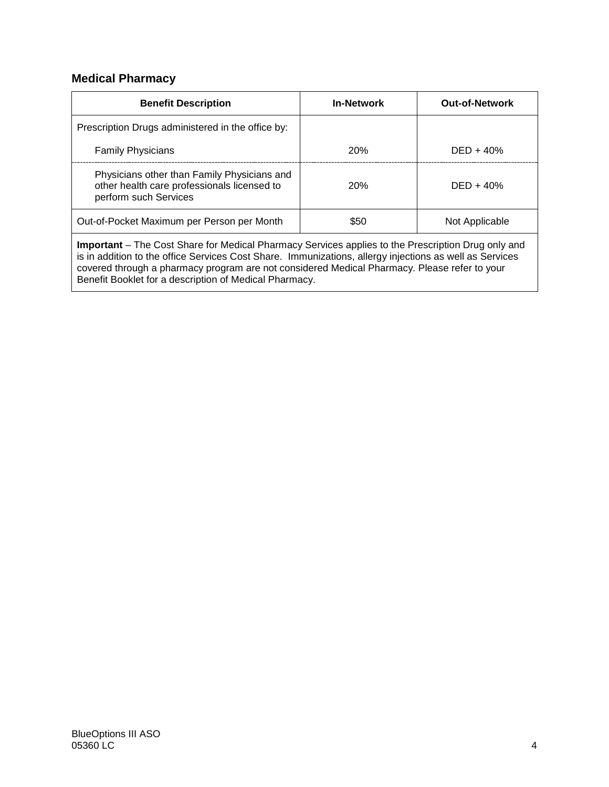## **Medical Pharmacy**

| <b>Benefit Description</b>                                                                                                                                                                                                                                                                                           | <b>In-Network</b> | <b>Out-of-Network</b> |
|----------------------------------------------------------------------------------------------------------------------------------------------------------------------------------------------------------------------------------------------------------------------------------------------------------------------|-------------------|-----------------------|
| Prescription Drugs administered in the office by:                                                                                                                                                                                                                                                                    |                   |                       |
| <b>Family Physicians</b>                                                                                                                                                                                                                                                                                             | <b>20%</b>        | $DED + 40%$           |
| Physicians other than Family Physicians and<br>other health care professionals licensed to<br>perform such Services                                                                                                                                                                                                  | <b>20%</b>        | $DED + 40%$           |
| Out-of-Pocket Maximum per Person per Month                                                                                                                                                                                                                                                                           | \$50              | Not Applicable        |
| <b>Important</b> – The Cost Share for Medical Pharmacy Services applies to the Prescription Drug only and<br>is in addition to the office Services Cost Share. Immunizations, allergy injections as well as Services<br>covered through a pharmacy program are not considered Medical Pharmacy. Please refer to your |                   |                       |

Benefit Booklet for a description of Medical Pharmacy.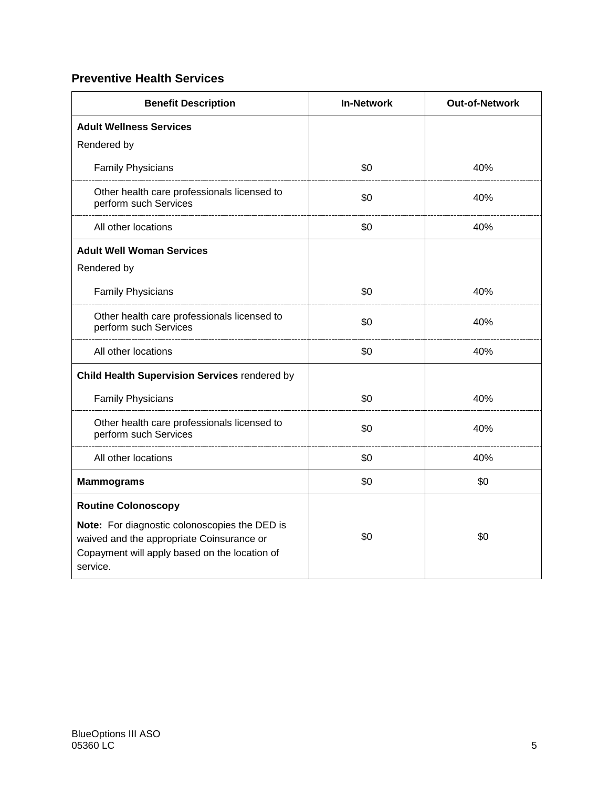## **Preventive Health Services**

| <b>Benefit Description</b>                                                                                                                              | <b>In-Network</b> | <b>Out-of-Network</b> |
|---------------------------------------------------------------------------------------------------------------------------------------------------------|-------------------|-----------------------|
| <b>Adult Wellness Services</b>                                                                                                                          |                   |                       |
| Rendered by                                                                                                                                             |                   |                       |
| <b>Family Physicians</b>                                                                                                                                | \$0               | 40%                   |
| Other health care professionals licensed to<br>perform such Services                                                                                    | \$0               | 40%                   |
| All other locations                                                                                                                                     | \$0               | 40%                   |
| <b>Adult Well Woman Services</b>                                                                                                                        |                   |                       |
| Rendered by                                                                                                                                             |                   |                       |
| <b>Family Physicians</b>                                                                                                                                | \$0               | 40%                   |
| Other health care professionals licensed to<br>perform such Services                                                                                    | \$0               | 40%                   |
| All other locations                                                                                                                                     | \$0               | 40%                   |
| Child Health Supervision Services rendered by                                                                                                           |                   |                       |
| <b>Family Physicians</b>                                                                                                                                | \$0               | 40%                   |
| Other health care professionals licensed to<br>perform such Services                                                                                    | \$0               | 40%                   |
| All other locations                                                                                                                                     | \$0               | 40%                   |
| <b>Mammograms</b>                                                                                                                                       | \$0               | \$0                   |
| <b>Routine Colonoscopy</b>                                                                                                                              |                   |                       |
| Note: For diagnostic colonoscopies the DED is<br>waived and the appropriate Coinsurance or<br>Copayment will apply based on the location of<br>service. | \$0               | \$0                   |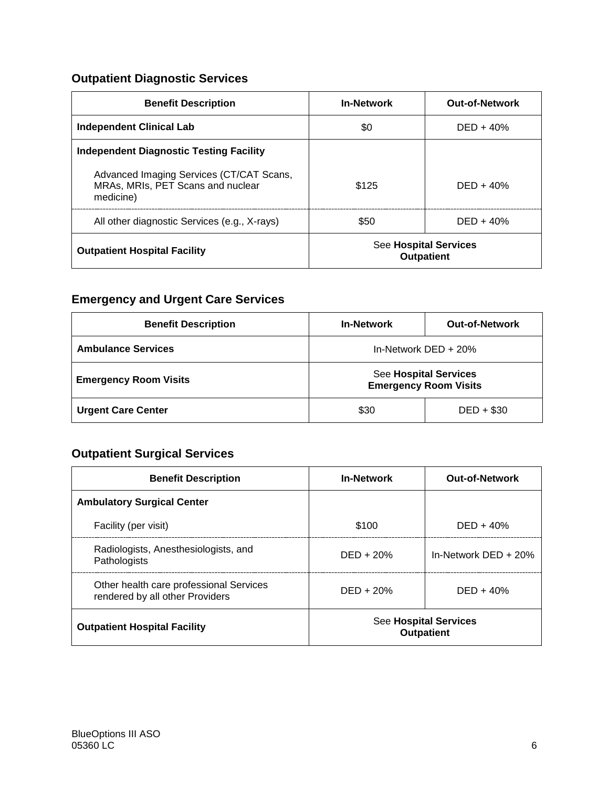## **Outpatient Diagnostic Services**

| <b>Benefit Description</b>                                                                 | <b>In-Network</b>                          | <b>Out-of-Network</b> |
|--------------------------------------------------------------------------------------------|--------------------------------------------|-----------------------|
| <b>Independent Clinical Lab</b>                                                            | \$0                                        | $DED + 40%$           |
| Independent Diagnostic Testing Facility                                                    |                                            |                       |
| Advanced Imaging Services (CT/CAT Scans,<br>MRAs, MRIs, PET Scans and nuclear<br>medicine) | \$125                                      | $DED + 40%$           |
| All other diagnostic Services (e.g., X-rays)                                               | \$50                                       | $DED + 40%$           |
| <b>Outpatient Hospital Facility</b>                                                        | See Hospital Services<br><b>Outpatient</b> |                       |

## **Emergency and Urgent Care Services**

| <b>Benefit Description</b>   | <b>In-Network</b>                                            | <b>Out-of-Network</b> |
|------------------------------|--------------------------------------------------------------|-----------------------|
| <b>Ambulance Services</b>    | In-Network DED $+20\%$                                       |                       |
| <b>Emergency Room Visits</b> | <b>See Hospital Services</b><br><b>Emergency Room Visits</b> |                       |
| <b>Urgent Care Center</b>    | \$30                                                         | $DED + $30$           |

## **Outpatient Surgical Services**

| <b>Benefit Description</b>                                                 | <b>In-Network</b>                                 | <b>Out-of-Network</b>  |
|----------------------------------------------------------------------------|---------------------------------------------------|------------------------|
| <b>Ambulatory Surgical Center</b>                                          |                                                   |                        |
| Facility (per visit)                                                       | \$100                                             | $DED + 40%$            |
| Radiologists, Anesthesiologists, and<br>Pathologists                       | $DED + 20%$                                       | In-Network $DED + 20%$ |
| Other health care professional Services<br>rendered by all other Providers | $DED + 20%$                                       | $DED + 40%$            |
| <b>Outpatient Hospital Facility</b>                                        | <b>See Hospital Services</b><br><b>Outpatient</b> |                        |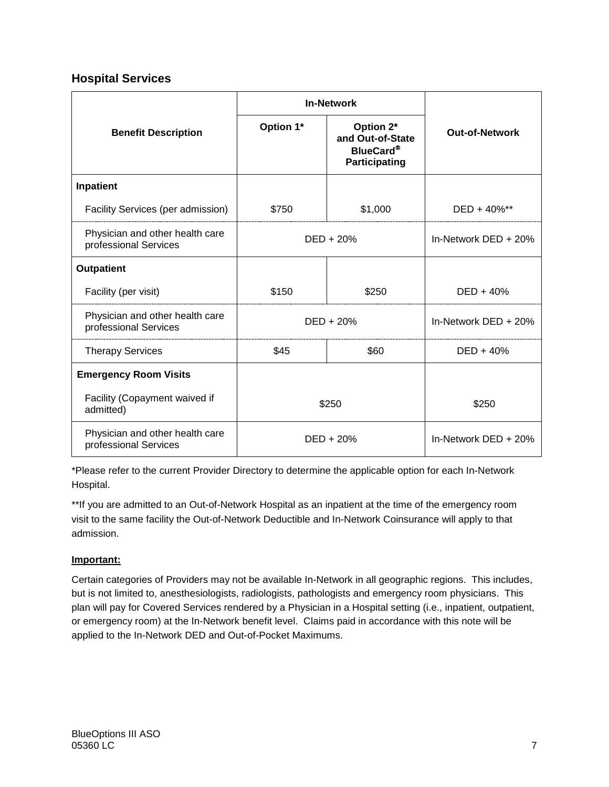## **Hospital Services**

|                                                          | <b>In-Network</b> |                                                                    |                       |
|----------------------------------------------------------|-------------------|--------------------------------------------------------------------|-----------------------|
| <b>Benefit Description</b>                               | Option 1*         | Option 2*<br>and Out-of-State<br><b>BlueCard®</b><br>Participating | <b>Out-of-Network</b> |
| Inpatient                                                |                   |                                                                    |                       |
| Facility Services (per admission)                        | \$750             | \$1,000                                                            | DED + 40%**           |
| Physician and other health care<br>professional Services | DED + 20%         |                                                                    | In-Network DED + 20%  |
| <b>Outpatient</b>                                        |                   |                                                                    |                       |
| Facility (per visit)                                     | \$150             | \$250                                                              | $DED + 40%$           |
| Physician and other health care<br>professional Services | DED + 20%         |                                                                    | In-Network DED + 20%  |
| <b>Therapy Services</b>                                  | \$45              | \$60                                                               | $DED + 40%$           |
| <b>Emergency Room Visits</b>                             |                   |                                                                    |                       |
| Facility (Copayment waived if<br>admitted)               | \$250             |                                                                    | \$250                 |
| Physician and other health care<br>professional Services | $DED + 20%$       |                                                                    | In-Network DED $+20%$ |

\*Please refer to the current Provider Directory to determine the applicable option for each In-Network Hospital.

\*\*If you are admitted to an Out-of-Network Hospital as an inpatient at the time of the emergency room visit to the same facility the Out-of-Network Deductible and In-Network Coinsurance will apply to that admission.

#### **Important:**

Certain categories of Providers may not be available In-Network in all geographic regions. This includes, but is not limited to, anesthesiologists, radiologists, pathologists and emergency room physicians. This plan will pay for Covered Services rendered by a Physician in a Hospital setting (i.e., inpatient, outpatient, or emergency room) at the In-Network benefit level. Claims paid in accordance with this note will be applied to the In-Network DED and Out-of-Pocket Maximums.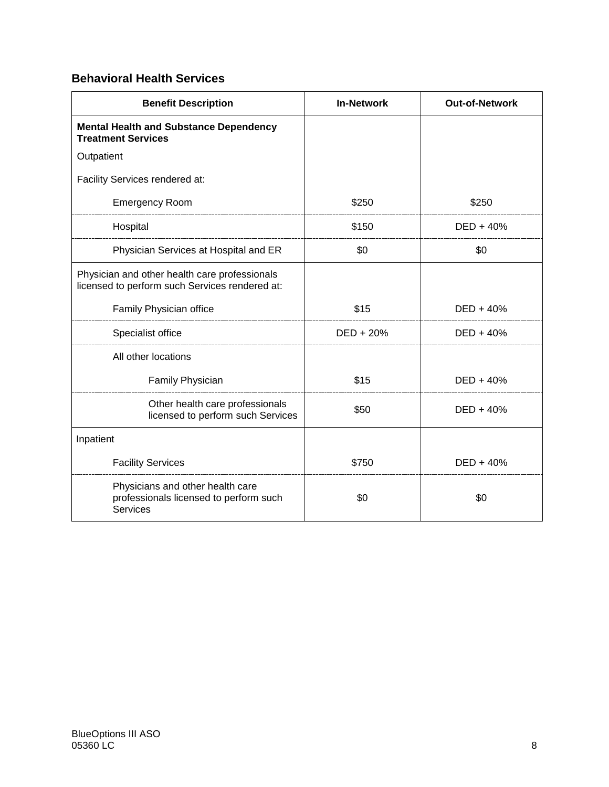## **Behavioral Health Services**

| <b>Benefit Description</b>                                                                      | <b>In-Network</b> | <b>Out-of-Network</b> |
|-------------------------------------------------------------------------------------------------|-------------------|-----------------------|
| <b>Mental Health and Substance Dependency</b><br><b>Treatment Services</b>                      |                   |                       |
| Outpatient                                                                                      |                   |                       |
| Facility Services rendered at:                                                                  |                   |                       |
| <b>Emergency Room</b>                                                                           | \$250             | \$250                 |
| Hospital                                                                                        | \$150             | DED + 40%             |
| Physician Services at Hospital and ER                                                           | \$0               | \$0                   |
| Physician and other health care professionals<br>licensed to perform such Services rendered at: |                   |                       |
| Family Physician office                                                                         | \$15              | $DED + 40%$           |
| Specialist office                                                                               | $DED + 20%$       | $DED + 40%$           |
| All other locations                                                                             |                   |                       |
| Family Physician                                                                                | \$15              | $DED + 40%$           |
| Other health care professionals<br>licensed to perform such Services                            | \$50              | $DED + 40%$           |
| Inpatient                                                                                       |                   |                       |
| <b>Facility Services</b>                                                                        | \$750             | DED + 40%             |
| Physicians and other health care<br>professionals licensed to perform such<br>Services          | \$0               | \$0                   |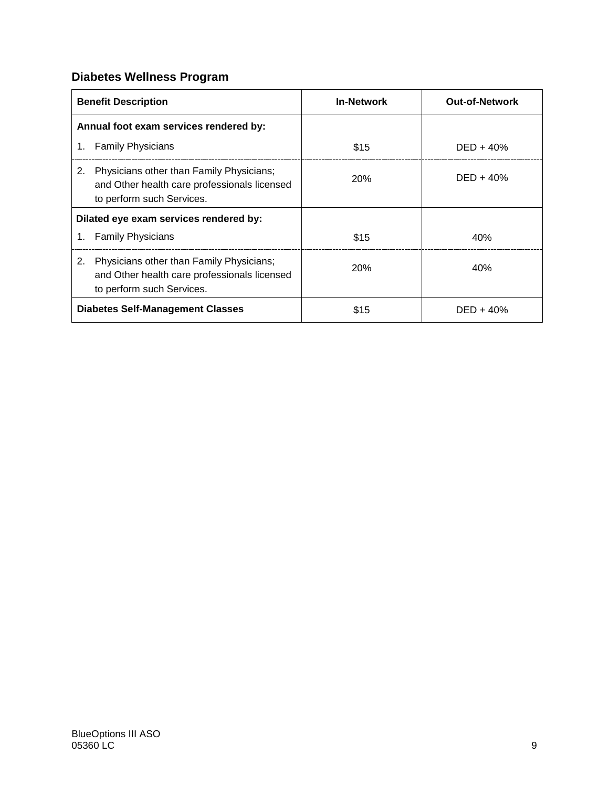## **Diabetes Wellness Program**

| <b>Benefit Description</b>                                                                                                  | <b>In-Network</b> | <b>Out-of-Network</b> |
|-----------------------------------------------------------------------------------------------------------------------------|-------------------|-----------------------|
| Annual foot exam services rendered by:                                                                                      |                   |                       |
| <b>Family Physicians</b><br>1.                                                                                              | \$15              | $DED + 40%$           |
| Physicians other than Family Physicians;<br>2.<br>and Other health care professionals licensed<br>to perform such Services. | <b>20%</b>        | $DED + 40%$           |
| Dilated eye exam services rendered by:                                                                                      |                   |                       |
| <b>Family Physicians</b><br>1.                                                                                              | \$15              | 40%                   |
| 2.<br>Physicians other than Family Physicians;<br>and Other health care professionals licensed<br>to perform such Services. | 20%               | 40%                   |
| <b>Diabetes Self-Management Classes</b>                                                                                     | \$15              | $DED + 40%$           |